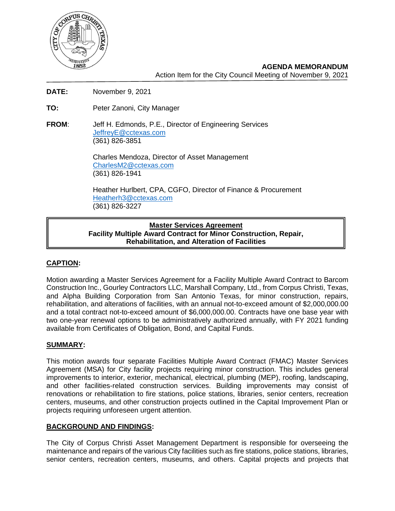

**AGENDA MEMORANDUM** Action Item for the City Council Meeting of November 9, 2021

- **DATE:** November 9, 2021
- **TO:** Peter Zanoni, City Manager
- **FROM**: Jeff H. Edmonds, P.E., Director of Engineering Services [JeffreyE@cctexas.com](mailto:JeffreyE@cctexas.com) (361) 826-3851

Charles Mendoza, Director of Asset Management [CharlesM2@cctexas.com](mailto:CharlesM2@cctexas.com) (361) 826-1941

Heather Hurlbert, CPA, CGFO, Director of Finance & Procurement [Heatherh3@cctexas.com](mailto:Heatherh3@cctexas.com) (361) 826-3227

#### **Master Services Agreement Facility Multiple Award Contract for Minor Construction, Repair, Rehabilitation, and Alteration of Facilities**

# **CAPTION:**

Motion awarding a Master Services Agreement for a Facility Multiple Award Contract to Barcom Construction Inc., Gourley Contractors LLC, Marshall Company, Ltd., from Corpus Christi, Texas, and Alpha Building Corporation from San Antonio Texas, for minor construction, repairs, rehabilitation, and alterations of facilities, with an annual not-to-exceed amount of \$2,000,000.00 and a total contract not-to-exceed amount of \$6,000,000.00. Contracts have one base year with two one-year renewal options to be administratively authorized annually, with FY 2021 funding available from Certificates of Obligation, Bond, and Capital Funds.

## **SUMMARY:**

This motion awards four separate Facilities Multiple Award Contract (FMAC) Master Services Agreement (MSA) for City facility projects requiring minor construction. This includes general improvements to interior, exterior, mechanical, electrical, plumbing (MEP), roofing, landscaping, and other facilities-related construction services. Building improvements may consist of renovations or rehabilitation to fire stations, police stations, libraries, senior centers, recreation centers, museums, and other construction projects outlined in the Capital Improvement Plan or projects requiring unforeseen urgent attention.

## **BACKGROUND AND FINDINGS:**

The City of Corpus Christi Asset Management Department is responsible for overseeing the maintenance and repairs of the various City facilities such as fire stations, police stations, libraries, senior centers, recreation centers, museums, and others. Capital projects and projects that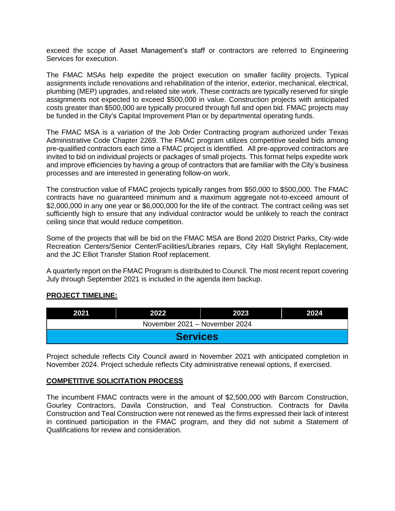exceed the scope of Asset Management's staff or contractors are referred to Engineering Services for execution.

The FMAC MSAs help expedite the project execution on smaller facility projects. Typical assignments include renovations and rehabilitation of the interior, exterior, mechanical, electrical, plumbing (MEP) upgrades, and related site work. These contracts are typically reserved for single assignments not expected to exceed \$500,000 in value. Construction projects with anticipated costs greater than \$500,000 are typically procured through full and open bid. FMAC projects may be funded in the City's Capital Improvement Plan or by departmental operating funds.

The FMAC MSA is a variation of the Job Order Contracting program authorized under Texas Administrative Code Chapter 2269. The FMAC program utilizes competitive sealed bids among pre-qualified contractors each time a FMAC project is identified. All pre-approved contractors are invited to bid on individual projects or packages of small projects. This format helps expedite work and improve efficiencies by having a group of contractors that are familiar with the City's business processes and are interested in generating follow-on work.

The construction value of FMAC projects typically ranges from \$50,000 to \$500,000. The FMAC contracts have no guaranteed minimum and a maximum aggregate not-to-exceed amount of \$2,000,000 in any one year or \$6,000,000 for the life of the contract. The contract ceiling was set sufficiently high to ensure that any individual contractor would be unlikely to reach the contract ceiling since that would reduce competition.

Some of the projects that will be bid on the FMAC MSA are Bond 2020 District Parks, City-wide Recreation Centers/Senior Center/Facilities/Libraries repairs, City Hall Skylight Replacement, and the JC Elliot Transfer Station Roof replacement.

A quarterly report on the FMAC Program is distributed to Council. The most recent report covering July through September 2021 is included in the agenda item backup.

## **PROJECT TIMELINE:**

| 2021                          | 2022. | 2023 | 2024 |
|-------------------------------|-------|------|------|
| November 2021 - November 2024 |       |      |      |
| <b>Services</b>               |       |      |      |

Project schedule reflects City Council award in November 2021 with anticipated completion in November 2024. Project schedule reflects City administrative renewal options, if exercised.

#### **COMPETITIVE SOLICITATION PROCESS**

The incumbent FMAC contracts were in the amount of \$2,500,000 with Barcom Construction, Gourley Contractors, Davila Construction, and Teal Construction. Contracts for Davila Construction and Teal Construction were not renewed as the firms expressed their lack of interest in continued participation in the FMAC program, and they did not submit a Statement of Qualifications for review and consideration.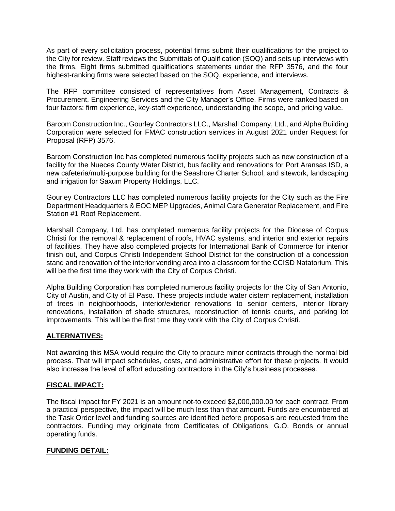As part of every solicitation process, potential firms submit their qualifications for the project to the City for review. Staff reviews the Submittals of Qualification (SOQ) and sets up interviews with the firms. Eight firms submitted qualifications statements under the RFP 3576, and the four highest-ranking firms were selected based on the SOQ, experience, and interviews.

The RFP committee consisted of representatives from Asset Management, Contracts & Procurement, Engineering Services and the City Manager's Office. Firms were ranked based on four factors: firm experience, key-staff experience, understanding the scope, and pricing value.

Barcom Construction Inc., Gourley Contractors LLC., Marshall Company, Ltd., and Alpha Building Corporation were selected for FMAC construction services in August 2021 under Request for Proposal (RFP) 3576.

Barcom Construction Inc has completed numerous facility projects such as new construction of a facility for the Nueces County Water District, bus facility and renovations for Port Aransas ISD, a new cafeteria/multi-purpose building for the Seashore Charter School, and sitework, landscaping and irrigation for Saxum Property Holdings, LLC.

Gourley Contractors LLC has completed numerous facility projects for the City such as the Fire Department Headquarters & EOC MEP Upgrades, Animal Care Generator Replacement, and Fire Station #1 Roof Replacement.

Marshall Company, Ltd. has completed numerous facility projects for the Diocese of Corpus Christi for the removal & replacement of roofs, HVAC systems, and interior and exterior repairs of facilities. They have also completed projects for International Bank of Commerce for interior finish out, and Corpus Christi Independent School District for the construction of a concession stand and renovation of the interior vending area into a classroom for the CCISD Natatorium. This will be the first time they work with the City of Corpus Christi.

Alpha Building Corporation has completed numerous facility projects for the City of San Antonio, City of Austin, and City of El Paso. These projects include water cistern replacement, installation of trees in neighborhoods, interior/exterior renovations to senior centers, interior library renovations, installation of shade structures, reconstruction of tennis courts, and parking lot improvements. This will be the first time they work with the City of Corpus Christi.

## **ALTERNATIVES:**

Not awarding this MSA would require the City to procure minor contracts through the normal bid process. That will impact schedules, costs, and administrative effort for these projects. It would also increase the level of effort educating contractors in the City's business processes.

## **FISCAL IMPACT:**

The fiscal impact for FY 2021 is an amount not-to exceed \$2,000,000.00 for each contract. From a practical perspective, the impact will be much less than that amount. Funds are encumbered at the Task Order level and funding sources are identified before proposals are requested from the contractors. Funding may originate from Certificates of Obligations, G.O. Bonds or annual operating funds.

## **FUNDING DETAIL:**